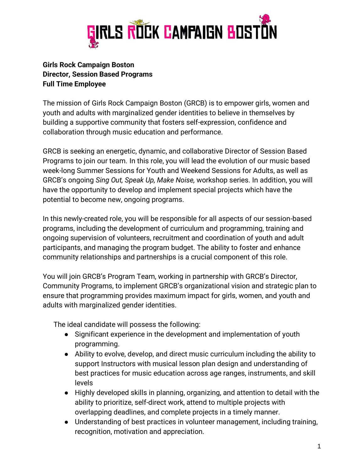

## **Girls Rock Campaign Boston Director, Session Based Programs Full Time Employee**

The mission of Girls Rock Campaign Boston (GRCB) is to empower girls, women and youth and adults with marginalized gender identities to believe in themselves by building a supportive community that fosters self-expression, confidence and collaboration through music education and performance.

GRCB is seeking an energetic, dynamic, and collaborative Director of Session Based Programs to join our team. In this role, you will lead the evolution of our music based week-long Summer Sessions for Youth and Weekend Sessions for Adults, as well as GRCB's ongoing *Sing Out, Speak Up, Make Noise,* workshop series. In addition, you will have the opportunity to develop and implement special projects which have the potential to become new, ongoing programs.

In this newly-created role, you will be responsible for all aspects of our session-based programs, including the development of curriculum and programming, training and ongoing supervision of volunteers, recruitment and coordination of youth and adult participants, and managing the program budget. The ability to foster and enhance community relationships and partnerships is a crucial component of this role.

You will join GRCB's Program Team, working in partnership with GRCB's Director, Community Programs, to implement GRCB's organizational vision and strategic plan to ensure that programming provides maximum impact for girls, women, and youth and adults with marginalized gender identities.

The ideal candidate will possess the following:

- Significant experience in the development and implementation of youth programming.
- Ability to evolve, develop, and direct music curriculum including the ability to support Instructors with musical lesson plan design and understanding of best practices for music education across age ranges, instruments, and skill levels
- Highly developed skills in planning, organizing, and attention to detail with the ability to prioritize, self-direct work, attend to multiple projects with overlapping deadlines, and complete projects in a timely manner.
- Understanding of best practices in volunteer management, including training, recognition, motivation and appreciation.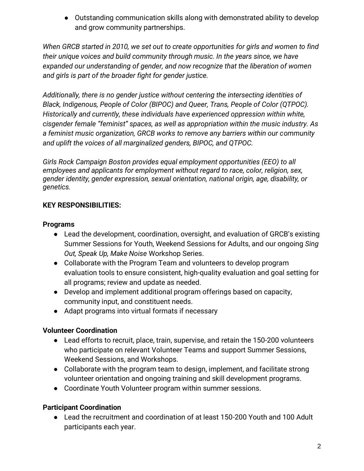● Outstanding communication skills along with demonstrated ability to develop and grow community partnerships.

*When GRCB started in 2010, we set out to create opportunities for girls and women to find their unique voices and build community through music. In the years since, we have expanded our understanding of gender, and now recognize that the liberation of women and girls is part of the broader fight for gender justice.* 

*Additionally, there is no gender justice without centering the intersecting identities of Black, Indigenous, People of Color (BIPOC) and Queer, Trans, People of Color (QTPOC). Historically and currently, these individuals have experienced oppression within white, cisgender female "feminist" spaces, as well as appropriation within the music industry. As a feminist music organization, GRCB works to remove any barriers within our community and uplift the voices of all marginalized genders, BIPOC, and QTPOC.*

*Girls Rock Campaign Boston provides equal employment opportunities (EEO) to all employees and applicants for employment without regard to race, color, religion, sex, gender identity, gender expression, sexual orientation, national origin, age, disability, or genetics.*

## **KEY RESPONSIBILITIES:**

#### **Programs**

- Lead the development, coordination, oversight, and evaluation of GRCB's existing Summer Sessions for Youth, Weekend Sessions for Adults, and our ongoing *Sing Out, Speak Up, Make Noise* Workshop Series.
- Collaborate with the Program Team and volunteers to develop program evaluation tools to ensure consistent, high-quality evaluation and goal setting for all programs; review and update as needed.
- Develop and implement additional program offerings based on capacity, community input, and constituent needs.
- Adapt programs into virtual formats if necessary

## **Volunteer Coordination**

- Lead efforts to recruit, place, train, supervise, and retain the 150-200 volunteers who participate on relevant Volunteer Teams and support Summer Sessions, Weekend Sessions, and Workshops.
- Collaborate with the program team to design, implement, and facilitate strong volunteer orientation and ongoing training and skill development programs.
- Coordinate Youth Volunteer program within summer sessions.

## **Participant Coordination**

● Lead the recruitment and coordination of at least 150-200 Youth and 100 Adult participants each year.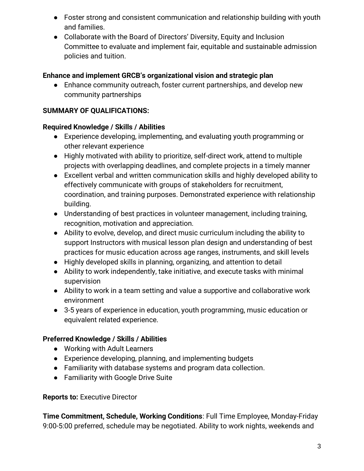- Foster strong and consistent communication and relationship building with youth and families.
- Collaborate with the Board of Directors' Diversity, Equity and Inclusion Committee to evaluate and implement fair, equitable and sustainable admission policies and tuition.

#### **Enhance and implement GRCB's organizational vision and strategic plan**

● Enhance community outreach, foster current partnerships, and develop new community partnerships

## **SUMMARY OF QUALIFICATIONS:**

#### **Required Knowledge / Skills / Abilities**

- Experience developing, implementing, and evaluating youth programming or other relevant experience
- Highly motivated with ability to prioritize, self-direct work, attend to multiple projects with overlapping deadlines, and complete projects in a timely manner
- Excellent verbal and written communication skills and highly developed ability to effectively communicate with groups of stakeholders for recruitment, coordination, and training purposes. Demonstrated experience with relationship building.
- Understanding of best practices in volunteer management, including training, recognition, motivation and appreciation.
- Ability to evolve, develop, and direct music curriculum including the ability to support Instructors with musical lesson plan design and understanding of best practices for music education across age ranges, instruments, and skill levels
- Highly developed skills in planning, organizing, and attention to detail
- Ability to work independently, take initiative, and execute tasks with minimal supervision
- Ability to work in a team setting and value a supportive and collaborative work environment
- 3-5 years of experience in education, youth programming, music education or equivalent related experience.

## **Preferred Knowledge / Skills / Abilities**

- Working with Adult Learners
- Experience developing, planning, and implementing budgets
- Familiarity with database systems and program data collection.
- Familiarity with Google Drive Suite

## **Reports to:** Executive Director

**Time Commitment, Schedule, Working Conditions**: Full Time Employee, Monday-Friday 9:00-5:00 preferred, schedule may be negotiated. Ability to work nights, weekends and